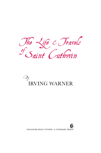The Life & Travels



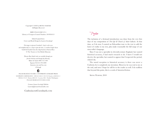Copyright © 2020 by IRVING WARNER All Rights Reserved

ISBN 978-0-912887-97-5 Library of Congress Control Number: 2019934513

Edited by Jack Estes Cover and Book Design by Lauren Grosskopf

*The image to represent Cwenburh's 'clasp' on the cover, and metaphorically as a clasp to open the book, is a medieval Anglo-Saxon*  Gold belt buckle from the ship-burial at Sutton Hoo: © The Trustees of the British Museum

> *Pleasure Boat Studio books are available through your favorite bookstore and through the following:* Baker & Taylor 800-775-1100 Ingram Tel 615-793-5000 Amazon.com and bn.com *& through*

PLEASURE BOAT STUDIO: A NONPROFIT LITERARY PRESS NONPROFIT CORPORATION / EIN 82-3128519 / D-U-N-S Number is 080932413 / UBI 604-179-537 / Business ID#: 001 / Location: 0001 / Seattle, Washington PLEASUREBOATSTUDIO.COM

> Contact *Lauren Grosskopf, Publisher* Lauren@pleasureboatstudio.com

CuthwinandCwenburh.com

Preface

The inclusion of a fictional introduction was done from the very first days of my composition of *The Life & Travels of Saint Cuthwin*. At that time, as I do now, I wanted an Edwardian tone to the text to add the luster of reality to my text, plus make reasonable the full range of our story-teller's language.

Since I was not a specialist in eleventh-century England, but wanted historical accuracy, I had much research to do. I knew I would not deceive the specialist, but wanted to appear that I respected the period, which I do.

The noted exception to historical accuracy is there was never a Cuthwin; he is completely my invention. However, he was real to me at the end, and now. I hope he will be to the reader as well. I do reaffirm that beyond this point, this is a work of historical fiction.

Irving Warner, 2018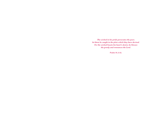*The wicked in his pride persecutes the poor; let them be caught in the plots which they have devised. For the wicked boasts his heart's desire; he blesses the greedy and renounces the Lord.*

**Psalm 10, ii-iii.**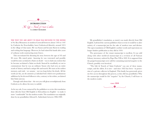

**the text you are about to read was dictated to the monks**

of St. Kea Monastery in modern Cornwall between about 1105 to 1107 by Cuthwin the Fencebuilder, born Cuthwin-of-Alnwick, around 1015 in the village of that name. He was Saxon and became fluent in reading and writing that language. However, he had ruined his hands after years of arduous work constructing stone fences.

This necessitated his dictating his story between the ages of 85 and 90 years. His stated point—knowing he was venerated and possibly would become acclaimed a Saint on death—was to dash any notion that he become acclaimed a Saint on death. Instead he steadfastly set out to communicate that he was an ordinary Saxon who had seen an entire swath of history and had a unique life and travels. He starts at his earliest memory, and ends—we assume—not too long before his death. All the words are his, *save the summaries of individual books* which were posthumous additions by his devoted followers who, contrary to his wishes, acclaimed him Saint anyway.

Enough said about that—the rest you will glean serendipitously from Cuthwin as he allows his story to unfold.

As for my role, I was contacted by the publishers to revise this translation done directly from Old English to Edwardian-era English—to make it more "comfortable" for the modern reader. The translation was originally done by my grandfather, Edward L. Sutherland, between 1906-1909.

My grandfather's translation, as stated, was made directly from Old English. I advised the current publishers that to revise it would be to alter artistry of a manuscript just for the sake of modern tone and diction. The open translation of Old English's earthier words and expressions no longer hinders publication as they did in 1910.

The provenance of the extant manuscript is excellent. It was sold along with other medieval manuscripts in a revision of all Vatican Library inventory ordered by Pope Pius VII in 1822. It is supposed that the purged manuscripts were sold for containing material negative to the Church, possibly even heretical.

"The Life & Travels of Saint Cuthwin" was one of these manuscripts, and the oldest. It is now—and since 1822 has been—in possession of a private collector in England. This family has generously given me free access throughout this process, as they did my grandfather. Why the manuscript would be felt "negative" by the Church, I will leave to the modern reader.

**r.a.r. 2018**

 $\overbrace{\phantom{\mathcal{L}_{\mathcal{L}}\mathcal{L}}\mathcal{N}}^{\mathcal{L}}$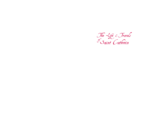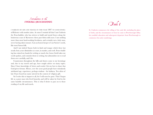#### Introduction to the OVERALL PROCEEDINGS

 boisterous coast of Kernowec these past thirty-odd years. I am nothing more than most hard-working freedmen, and certainly not a holy man, never having taken tonsure. I am an honest keeper of our Savior's words, i narrate my life and travels in this year 1097 to good iswhlof-Ilchester with modest aims. At onset I remind all that I am Cuthwin the Fencebuilder, who has striven to build and mend fences along the like most Saxon folk.

And I am indeed Saxon both in kind and tongue which these last nearly forty years diminishes at court, in market, and croft. Fence-building has ruined my hands for writing or much else; hence Iswhl takes my words spoken, and commits them to writing, but admonishes me to read them over carefully, and I do.

Countrymen throughout the hills and shores come to my hermitage and, due to my travels and age, have sought advice on many topics. Since I have knowledge of letters and words, I do my best to share that God-given fortune. Hence, over the years good people have mistakenly attributed age, experience, perhaps wisdom—for holiness. Too often of late I have heard my name uttered in the context of religious gift.

 life as a poor man who lived honestly, and will be taken by God in the So I write this to impart to all, for I will soon be gone: That I began same humble circumstances. This is what I desire to pass on to those reading of my life and travels.

#### Book 1

St. Cuthwin commences the telling of his early life, including his place of birth, and the circumstances of how he came to Peterborough Abby; his youthful education and subsequent departure from Peterborough to commence his early wanderings.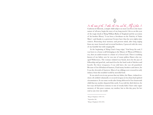In the name of the Father, the Son, and the Holy Ghost, J, Cuthwin-of-Alnwick, a simple child subject no more nor less to the baser nature of all men, begin the story of my long travels. I do so on this year of the tragic death of King William Rufus of England and the accession of his brother Henry.<sup>1</sup> I was born a freedman on the Nativity of Saint Mary<sup>2</sup>, and thanks to a generous Creator have thus far seen eighty-nine winters. Possessing clear memory and present mind, after long urging from my more learned and reverend brethren, I proceed with the story of my humble but wide-ranging life.

1

At the beginning of King Cnut's long reign,<sup>3</sup> God keep his soul, I was born to a house scull belonging to the Manor of Pilson-of-Withernsea, then an under-tenant to a thane of a Great Lord. There is nothing known of my father, save he was one of many pitiless Danes who ravaged Withernsea. The woman violated was Sarah, keen for the joys of fellowship and good ale, and much less for the hard work of kitchen and hearth. For these trespasses, I was told later, she was oft punished. Because of her ill-balanced humors, I had many brothers and sisters, for I was the eleventh of fourteen. Most of my siblings were rescued in early infancy from this troubled world by merciful God.

It was aired even in my person that my father, the Dane, violated territory oft yielded voluntarily or secured trespass in less-than-bad spirited circumstances. It was some weeks after being delivered of her fourteenth child that my mother departed this earth. I was told she died shriven, for her ways oft had been contrary to one of steady faith. I have only vague memory of this poor woman, my mother, but to this day pray for her soul as any true son would.

<sup>&</sup>lt;sup>1</sup> King of England, 1100-1135.

<sup>2</sup> September 9th.

<sup>3</sup> King of England, 1016-1035.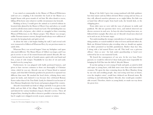I was raised at commonality in the Manor of Pilson-of-Withernsea until not yet a stripling. I do remember the Lord of the Manor as a largish Saxon with great strands of red hair. He often drank to excess, falling off his horse onto whatever earthly circumstances lay beneath.

Working at livery, I would greet the animal as it arrived without its besotted rider. Joined by the Master of Horse's boy and others, we would search in all directions until we found our Lord. The lad finding him was rewarded with a ha'pence, after which we struggled at litter returning Pilson-of-Withernsea to the Manor proper. This Manor was meager, unlike Norman manors current, though boards always were sufficient of necessity for keeping body and spirit served.

At about the time a lad begins finding his staff, I and several serfs were transacted to Gilbert-of-Wharram Percy by our previous master to satisfy debt.

Wharram Percy was several leagues<sup>4</sup> from my birthplace and upon soks much different. The Manor House of Gilbert was larger, and I was put in service to one of his trusted housecarls named Alwystle, He was a harsh master for any lad, of loutish nature, quick with cruel hand and foot, a man of colic temper. Thankfully he was slow of wit and easily hooded even by young boys.

Furthermore, he was plagued with badly portioned humors, and given to base excesses common to those not thoroughly of Christian virtue, which he was not. Alwystle was not of Saxon blood or natural tongue, and what little Christian goodness he practiced or espoused was different than most. He mocked the local clerics, refusing them entry upon his lands, and claimed it was because they celebrated Roman Easter rather than of the True Faith. Lastly, he claimed it was because of these Roman blasphemies that beasts and gorgons plagued the country.

Alwystle's household was both of village and field. I was given to the fields, and saw little of the village. Mostly I stayed in a cottage distant and labored for various bondsmen long in Alwystle's service. These all despised him, cheating his offices whenever possible to increase their lot, but if caught were whipped severely at post, summer or winter.

 $14$   $\rightarrow$   $\sim$  (5

Being of the field, I grew into young manhood with little guidance but what nature and my fellows devised. Hence young and raw boys, as they will, allowed ourselves pleasures as we might follow. For little was at hand that offered respite from hard work, the brutish kick, or the whipping piece.

From older men we were told the ways of pleasure in stable and paddock. We did not question their views, and indeed observed our diverse overseers in such acts. As boys do when learning from men, we followed their example. But when one of Alwystle's head men observed us in such an act, he became angry.

Not understanding the strange contradiction of saying one thing and doing another, we waxed truthful of what we'd seen and heard others do. Both our ill-timed behavior plus revealing what we should not against our elders promised us horrible punishment. Rather than face this, I along with a lad named Pyster ran off. This itself was a grievous offense—then as now—for lads under guardianship or bond were tethered by law to our manorial Lords.

We feared the consequences of our acts. At the very least, Pyster guessed, we would be relieved of those body parts most responsible for bringing the Evil One into the fold of Alwystle Manor.

It was late spring; we were young of body and spirit, as suited to field and copse as young hares, with little more sense than such lame-witted creatures. We spent the days venturing down the River Humber, living by our wits and avoiding people. Any soul seeing such boys at leisure, even the simplest cottar<sup>4</sup>, would have deduced our ill-stood status. By catching us and informing Master Alwystle, they would gain considerable reward. Therefore, elusive as young hinds, we made our way down the great river.

<sup>4</sup> League. In 11th century England, a league was 1.4 miles or 2.2 km.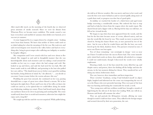# 2

After much idle travel, on the morning of the fourth day we observed great amounts of smoke seaward. Since we were far distant from Wharram Percy we became more confident. The smoke caused a vast haze everywhere and smelled of autumn when fields were burned, yet it was not yet summer.

A crone happened by in a wagon drawn by a largish cottar—looking more beast than human. We knew that neither of them could catch us so risked asking her what the meaning of the fire was. She took rest, and said several dragons were loosed in the valley below and had set everything afire, being in great temper after suffering one indignity or another by haughty villagers.

My companion and I were struck with fear and were about to flee inland. She stopped us and said in thoughtful manner that she was knowledgeable about such monsters and was taking a road around the troubles on her way to a copse where she had cottage and croft. She looked us up and down, and said she had need for two lads. Her old bones made work in croft difficult, and gesturing to the lout who pulled her cart, told us, "The dumb beast you see before you is good for nothing but burden, being deficient of mind. So," she allowed, ". . . you decide as you must. I must resume before the worms advance this way."

Prodding the poor lout onward, she continued on her way, passing downhill into a copse of great trees where flowed a stream. We in fact had spent the night there. Pyster and I were shy of her offer, yet knew she could not catch us, so he opined that we could follow along, for smoke was thickening, making eyes smart. Pyster had heard much about dragons and knew them to be clever in pursuing and catching folk. The crone would surely know how to avoid such monsters; otherwise how might she enjoy such a long life?

We caught up with her and she was not surprised. While pulled along,

she told us of diverse wonders. She was merry and true to her word, and soon the fires were more behind us and we moved uphill, along more of a path than road, so progress was slow but of good spirit.

At midday we reached the border of a thick forest and aged stone bridge traversing a considerable stream. She ordered the lout to stop and had us help her down from the wagon where she made repast. She shared bread and a kipper with us. Having fed for days on wild fare, we fell on her victuals keenly.

We began to sup when four men appeared from the woods, and the lout for the first time became aware of events, allowed outcry, and ran into the woods like the beast he was. They made no move to pursue but closed in. Seeing his chance Pyster ran, at once pursued by two of the men—but he was so fleet he evaded them and, like the lout, was swallowed up by the thick, shadowy forest. The pursuers returned at once. I never saw Pyster nor lout again.

Two of those remaining—one seemingly in charge—were so near me I knew I would not have the success Pyster had. The crone immediately visited foul words on them, then suddenly all switched to a tongue I could not understand, though I discerned the words were wholly unpleasant.

Drawing a knife, two of the four seized the crone, lifted her up, and despite outcry and protest, threw her kicking off the bridge and into the stream, in the last moment slitting her throat. They murdered her as if doing any minor, bothersome chore.

The cart, however, drew immediate and keen inspection.

These wretches' headman, seeing I had befouled myself in abject fright, laughed and informed me the crone was transporting the two of us to the Danes who were presently harrying. They were part of the host that was burning and looting the countryside for nearly a week.

"Two young men sold into serfdom would have brought a month of high living for the old sow if she knew her trading. Well, one will do us. Demons and fiends will consume the other."

They sat and partook the ill-begotten victuals, offering me none though in truth I could not have eaten. They talked in the foreign tongue and seemed cheered by their new possession, the cart.



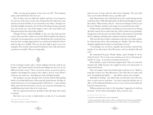"Who was that great gorgon of hers who ran off?" The headman asked, and I told him he drew her cart.

One of them eyed me while they talked, and since I was bound to the cart was at the mercy of the scum. Seeing what they did to the crone and how the lout had fled, I was sorrowful of my future. Though considerable daylight remained, each of them fell asleep, having consumed most the bread, ale, and all the kipper; hence, like stoats filled with ill-begotten food, they slept richly satisfied.

Though I'd been tethered skillfully to the cart, they had used the crone's old, worn lines, which were rotted. With youthful teeth sharp as a hayrake, I soon gnawed my way free and fled into the wood and away from the trail. As night approached, I was afraid and whistled for Pyster until my lips were chaffed. This was the first night I spent in my own company. The creatures that roamed in darkness, their calls and moans, caused me to tremble. This was a long night.

# 3

In the morning I awoke with a violent shaking and stout yank by my britches, and I found myself elevated and looking into the eyes of two different brutish cottars.<sup>5</sup> They wrested me about, secured my elbows together and dragged me along as they might a sack of wool. When I cried out, one smote me—knocking me mute and foggy-headed.

My brainpan was just clearing when I found myself half-standing before a towering black horse. From atop this grand mount, the likes of which I had never seen, its imposing rider looked down—a man in black habit, and with his hood back, I saw he was tonsured and despite my youthful ignorance knew him to be a holy man.

My two captors presented me proudly to him, like dogs with a joint of mutton.

But there was no time to think further on this, for I was knocked

down by one of them with the other brute shouting, "On your belly when you're before His Reverence, you little toad!"

One informed how they had found me in the woods having cleverly tracked me there. With this information, the Reverend thought some time, then asked, "What do they call you—who do you belong to? Now, if you lie to me, I'll know and have your tongue cut out and fed to the rooks."

I believed him and told him everything save the reason for my fleeing Alwystle's manor. Even at this early age, craft of mind was my guardian, though later it also became my demon. But at this moment I sensed this cleric's authority, and kept mute regards reasons for running off.

This sent him into another rumination, and when my captors spoke, he ordered them silent, still considering me. Finally, "And why did you abandon rightful board which was God's place for you?"

"I unwittingly saw acts there, ungodly; also yesterday witnessed the murder of an old woman, Your Reverence, and was afraid for life and soul."

He maintained his gaze. Finally taking a great draught of air he shook his head. "So it seems your running away led to witnessing the murder of a hag—so you have not improved your lot."

From behind, a pair of horsemen approached. They too rode fine animals and, unlike the pair who caught me these were housecarls, $6$  so armed and dressed.

One cast a glance back, then looked with weariness to me. "Shall we hang this creature too, Your Reverence? The other four are quite cold now," he laughed and added, ". . . but will be warmer soon enough."

Subcellarer<sup>7</sup> Eadsige—for indeed this was that holy man who later arose to great success and fame—was then young but already sure of office. In the following half-dozen years, I was to learn much indirectly from his words and ways.

Without paying any notice to his attendants' suggestion, he held up his hand—for the others had laughed. They ceased at once.

<sup>7</sup>A monk a step below the cellarer who is an officer or obedienciary in the monastery responsible for supplying food and drink. In Benedictine monasteries the cellarer's duties were expanded greatly.





<sup>&</sup>lt;sup>5</sup> Farm laborers living in a cottage. Probably free.

<sup>6</sup> A member of household/manor troops or bodyguard.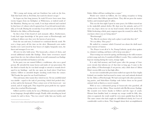"He's young and strong, and our Gardener has work on the fens. Take him back with us. Feed him, but watch he doesn't escape."

So began my first long journey. In truth I'd never been more than twenty leagues from my birthplace at Withernsea, or indeed south of the Humbria. During our way south, I was kept tethered and watched by that brace of vultures who'd captured me; I was fed and treated tolerably, as I recall. During the second day I was told I was now in Bond of Default to the Abbey at Peterborough.

So this is how I first heard of such monastic offices. Furthermore, I only had vague knowledge of the great center at Peterborough, and nothing of abbeys save they were the havens of great men.

From the sun and stars, I reckoned we continued directly south. We were a large party all the time on the alert. Mammoth carts under burden were each towed by four braces of mighty burgundy oxen, the finest and strongest I ever saw.

All were in rich, bold array: The housecarls, a dozen of them, and several additional monks like Eadsige. These latter reverences stayed apart from the rest, but without doubt in overall command was Eadsige who devised and directed business each day.

In the party was one named Gilbert, a stableman, who was a good person. He attended the many horses and mules of our procession. On the third or fourth day he was kind enough to attend to wounds developed in my bindings—and the one upon my head where I had been smitten. Gilbert so attended despite mocking words from the cottars: "He'll make fine sport for our Lord Gardener."

This and many other taunts they visited on me. Yet my youthful mind was nimble—equal to the task of perceiving 'which fowl pecked who,' as they said in the farmyard. These cottars were of the lowest sort—not armed, and of rough garb. They hoped for great profit for my capture when they reached Peterborough.

Gilbert used few words, for he was a Welshman and not comfortable in our language, though skilled enough. Finally while attending my head wound, he said to them, "You two cotsets<sup>8</sup> strike him any harder, and Father Abbot will have nothing but a corpse."

Words were visited on Gilbert, the two taking exception to being called cotsets. But Gilbert ignored them. They did not press the matter further, and remained quiet if sullen.

This was the first night I spent in some peace, for Gilbert moved me to the makeshift animal shelter. He slept near his animals, and as if I were one, kept a keen eye on my head wound, which took an ill turn. While freshening a thick, pasty unguent upon the wound, he asked, "Do you know where you are being taken?"

"Peterborough."

"Yes. But do you know what such a place is and what they do?"

"It is an abbey. They pray?"

He smiled in a manner which I learned was about the droll man's most extreme of humor.

"No. Prayer is not all of it. So, Young Cuthwin, speak when spoken to, volunteer nothing, and know well to keep your place."

That evening was warm for spring, and listening to the wild creatures at their songs and cries, I considered Gilbert's words. They confused and kept me musing during the warm, strange night.

It is only frail memory and God's grace after the passage of fourscore circuits that informs me of that time so long ago. I came to the great Abbey of Peterborough; if not precise, only a little short of Abbot Elsin's twenty-fifth year in that high office.

As our now-considerable procession trailed out upon the East Anglia fenland, our number had increased to many carts and animals destined for the Abbey at Peterborough. We had converged with other provisioning parties, and Subcellarer Eadsige rode before them on his grand animal, both as black as a raven's mantle.

With us was a substantial group of housecarls who guarded, all owing service to the Abbey. These traveled with His Reverence Eadsige. My wounds were better thanks to Gilbert and the vigor of youth. Distant from familiar land, to attempt my escape would be folly; also, when re-captured, the result would be even more painful than the first. The same cottars who had caught me still followed closely, for I was of considerable worth to them. They bragged about their accomplishment





<sup>8</sup> Lowest sort of cottar, without land and frequently bonded.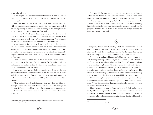to any who might listen.

"A healthy, well-fed boy with so much hard work in him! He would have been the very devil to ferret from wood and hollow without the likes of us."

When the time for their reward drew closer, they became friendlier with he who represented their increase in life. And since we traveled exclusively through hundreds or sokes<sup>9</sup> belonging to the Abbey, foresters in our procession took wild game, so all ate well.

I applied Gilbert's advice, and despite growing familiarity, answered only when asked. In fresh possession of youthful wit and cunning, I listened and measured each weave of my circumstances. At Peterborough, instruction and advice were rarely offered and never repeated.

As we approached the walls of Peterborough, it seemed to me that we were entering a county and town from great sagas—the Monastery and Cathedral in the center and surrounding houses inside and outside the walls were imposing to me. In the days when the hosts frequently plagued common folk, walls were a balm, for it was better to be walled in than out.

Upon our arrival within the sanctuary of Peterborough Abbey, I stood enthralled at the sight of all the activity. For the major provisions and supplies we had carried involved all non-tonsured and tonsured in the Abbey to unload, and distribute.

I knew we would not see Cellarer Dagobert, for I learned he was grievously indisposed and not expected to survive long. His great office and all our procession's efforts and material were ultimately subject to Father Abbot Elsin's of Peterborough Abbey, the greatest man in all the country.

When Cellarer Dagobert fell deathly sick, his office was filled by Eadsige. It was assumed that Abbot Elsin would select Eadsige as the new Cellarer upon his return. Like so many great personages, the Reverend Abbot often traveled to far places on important holy missions.

So it was this day that began my almost eight years of residence at Peterborough Abbey and its adjoining manors. I was to learn much between my eighth and seventeenth year that would benefit me in the travels this account will bring forth. To learn monastic ways and the Rule of St. Benedict benefited me for the entirety of my life by providing knowledge and skills. May God forgive me for applying some of that for purposes that met the afflictions of the immediate, though ignoring the consequences of the eternal.

## $\langle 4$

Though my story is not of cloister, details of monastic life I should describe, however modestly. The Monastery was an ordered yet secure place as of which I had not benefit earlier. As the sages observe, you learn by what you do not have in contrast to that you come by.

A youth born and raised in meager holdings saw much to gape at in Peterborough and adjacent manors. Just the numbers of souls astounded, for I never saw so many in one place any time. On this first morning I saw over a hundred people at the Monastery within the walls and without the two gates were maws belching people in and out. It was spring and much business was being conducted and haying was growing close. The arrival of our train carrying a bounty of feorms<sup>10</sup> beholden to the Abbey resulted much bustle by the diverse responsibilities receiving cartage.

My anxious captors ignored this work, intent on my person, though they did offer—for the first time—an opinion of our Superior's proven skills: "When this Subcellarer Eadsige goes afield, he milks the very trees of pith for his beloved Abbot."

These two creatures remained at my elbows until their audience was finally at hand. I was pushed before them—presented for the second time to Eadsige and another tonsured cleric, Gardener Dundage, a Saxon of a dour nature. He looked me over, and opined aloud that I would run off at

<sup>10</sup> In kind payment, such as honey or grain, etc.



<sup>&</sup>lt;sup>9</sup> Hundred or soke. A large administrative unit of land, each having its own representative body from local villages. The right of local jurisdiction of a particular territory.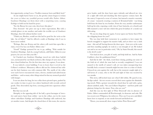first opportunity, seeing I was a "Godless runaway born and likely bred."

As one might barter horse or ox, the greedy cottars began to reckon the years at labor my youthful person would offer Father Abbot. Gardener Dundage cut them short with a surprising curse, causing Eadsige to hold out his hand for peace.

"See the Bursar for your coin, then leave this place."

They frowned—the price not up to their expectations. But with a swinish glance at one another, and under the terrible eyes of Gardener Dundage, they left without further word.

"Think you, Brother, would not this lad be good for the weirs at the lake. An eel fisher?" And he offered a smile at Dundage who I was to learn never smiled.

"Perhaps. But one ill-step and the others will crack him open like a clam, even if he has cost Father Abbot coin."

"Good!" Eadsige gestured for me to go, adding, "Wait outside for Gardener Dundage. And oh, young Cuthwin, add Father Abbot in your prayers, for you owe him your life."

As I backed out, Gardener Dundage traced me with those baleful eyes, surmounted by vast black eyebrows, like clumps of tarry moss. The door closed behind me. For the first time since my capture, I was alone.

It was indeed a stout building; I was to learn that it served as the Cellarer's residence. Monastery officers did not live cloistered but without for their business was with common folk. The smells of the cellar were such I never encountered: wines, cheeses, smoked and salted meats and fishes—and so many other things mixed in that my stomach growled with hunger.

I was not alone for long, for two cellar doors pivoted open, pushed by one worker in time to greet two others burdened with recently arrived goods. They descended, legs bent, carrying goods into capacious cellars beneath.

But that was not all.

Abruptly, to the opposing side of the hall, a great harangue of invective and outcry burst from within—not in the cellars, nor in the room where subcellarer Eadsige and Gardener Dundage still conferred, but yet another room. And despite the closed door of this room, the outcries

grew louder, until the door burst open violently and allowed me view of a sight still vivid and shocking this three-quarter century later: By the outcry I expected a scene of torture, but instead a massive enormity of a man—tonsured, wearing a vastness of ill-stained habit—was being held from the front by two bordars. From the rear, another unfortunate held up his robe, exposing a wide vista of bare buttocks, yet a fourth and fifth manned a stave tub into which this great leviathan of a monk was defecating.

"If you two dogs drop me again, I swear upon our Savior that it'll be the whipping house for you!!"

The two that held their tormentor in a position to best empty his bowels struggled to support his massive bulk, and yet there was a sixth man—this sad self having thrown the door open—bent over at the waist and then standing upright, he took in a vast draught of air. He looked out and to no one in particular cried, "Oh, by Saint Oswald, this stench is the devil's work."

"Get back in here, you pile of turds, and help hold me. And by Saint Cuthbert, close the goddamned door."

And this he did—the thick, wood door closing, pushing out some of the fetid air of which the man had so recently complained. I was not unused to the smells of nature's call, yet was taken unsuspecting how horridly foul a creature's innards might become close to a time of death. I braced my arm against the wall, but at the moment caught sight of a tall heron of a man, who to the left and right of him was escorted by two monks.

This stern, stiff-necked man saw what I did within. He gazed at me, his lips curled—his two escorts covered their noses against the diminishing stench. With a gesture towards the closed door he said with a grim, almost satisfied, smile, "See you Cellarer Dagobert—and how pride and gluttony brings low the sinner. Now, who are you?"

And this was my first sight of Prior Denewulf who in absence of Father Abbot commanded all Peterborough, its demesne and soks. His two escorts were Whipmen, his enforcers. They saw I was new and didn't know how to respond, so one strode forward and kicked me.

"Down, you mooncalf, show respect before Prior Denewulf!"



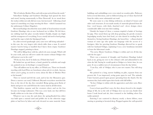"He is Cuthwin, Brother Prior, and with us just arrived from the north."

Subcellarer Eadsige and Gardener Dundage had opened the door and stood, bowing momentarily to Prior Denewulf. As we stood there the ruckus within not only did not cease, but increased—following a loud report of something very large meeting the floor—which I assumed was the unfortunate Cellarer Dagobert.

Reverend Eadsige described the most subtle of head motions towards Gardener Dundage who at once beckoned me to follow. We left there, me rubbing hard the place recently kicked. Frankly, despite my fright and the strangeness of everything, I was a sturdy lad used to hard goings, and had the urge to kick the blackguard back.

In a dirt-covered quadrangle yard, carts were still being unloaded in this case, the very largest with wheels taller than a man. It carried massive barrels being so handled that I knew them empty. Gardener Dundage stopped, pointing to them.

"We will be filling those with fat, salted eels soon enough. Which will be your work, and you will serve under the master eelman Ordgar who will instruct you in the craft."

"I'll do my best, but if he kicks me, I'll kick him back."

He looked me up and down; a hand, gnarled by arthritis and rough use, pointed at me, its forefinger a warped branch.

"You will address me by my office, or I'll kick you. Those two hounds traveling with Lord Prior are henchmen whose job it is to kick. Anyway, where you're going, no need to worry about the likes of Brother Prior or his hounds."

Then we turned and left the yard, and in fact the Monastery gate. Down a narrow cart road, I followed. Beyond everywhere stretched the fens, to the rim of the sky, they extended. Being spring, great flocks of ducks and geese rose and fell from the watery land in all directions.

This limitless expanse and the creatures above and on the fens became my benign taskmaster. This was a new land, one that still lives fondly within me to the time of this telling.

Whatever was to stay dry and above the spring-flooded fens either was built upon a natural sand and pebble rise in the otherwise soggy plain or had been by labor and craft elevated on same material. Some buildings and outbuildings were even raised on wooden piles. Pathways led in several directions, and we followed along one of those that led off from the wider, more substantial cart road.

We soon came to a tiny fishing settlement, an island of houses and other such structures. It was made mostly of materials gleaned from the fens—reed houses, with thick, thatched roof—clever designs where considerable skills went into their making.

Outside the largest of these, a woman emptied a basket of leavings for pigs. They nosed them up with deep grunting, the greedy creatures begrudging nearby barn fowl food, yet who darted in stealing bits for themselves. Seeing Gardener Dundage, she bowed low—a flaxen-haired woman of some age who spoke our language with the accent of a foreigner. After her greeting Gardener Dundage directed her to speak with her husband Ordgar, explaining I was a new bondsman intended to learn the fisherman's trade.

"I'm sorry, Master Gardener, Ordgar is within and very ill this day with the fen ague."

There was a moment of thought, and Gardener Dundage looked back at me, giving me over to the eelman's wife and admonished to do what she bid. Saying he would speak to Ordgar at a better time, he was gone. It was a sudden turn of circumstances from the day before.

"I am Esa, wife of Ordgar, who is your new master. You will sleep there."

She pointed to a long, narrow building on piles, separate from our present isle. I was impressed, seeing goats upon its roof. The animals, I later learned, grazed upon grasses sprouting from the thatch. For the moment they had settled upon their hocks with full bellies.

"In fact, Ordgar is within with the apprentices and other sorts. Have you eaten?"

I was to learn good Esa's ways, for they always hewed to the simpler things of life, for as the wife of Ordgar, hers was not easy. Inside their house I took bread and ale, then ventured to the building where Esa earlier pointed.

Entering I saw scattered in disarray nearly a dozen fellows, most snoring or grunting to besotted sleep. Propped against the wall sprawled